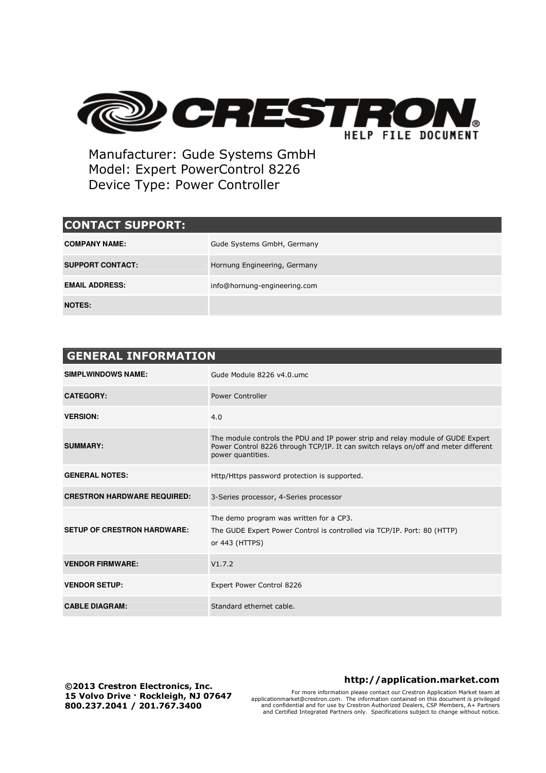

Manufacturer: Gude Systems GmbH Model: Expert PowerControl 8226 Device Type: Power Controller

## **CONTACT SUPPORT:**

| <b>COMPANY NAME:</b>    | Gude Systems GmbH, Germany   |
|-------------------------|------------------------------|
| <b>SUPPORT CONTACT:</b> | Hornung Engineering, Germany |
| <b>EMAIL ADDRESS:</b>   | info@hornung-engineering.com |
| <b>NOTES:</b>           |                              |

| <b>GENERAL INFORMATION</b>         |                                                                                                                                                                                           |  |  |  |
|------------------------------------|-------------------------------------------------------------------------------------------------------------------------------------------------------------------------------------------|--|--|--|
| <b>SIMPLWINDOWS NAME:</b>          | Gude Module 8226 v4.0.umc                                                                                                                                                                 |  |  |  |
| <b>CATEGORY:</b>                   | <b>Power Controller</b>                                                                                                                                                                   |  |  |  |
| <b>VERSION:</b>                    | 4.0                                                                                                                                                                                       |  |  |  |
| <b>SUMMARY:</b>                    | The module controls the PDU and IP power strip and relay module of GUDE Expert<br>Power Control 8226 through TCP/IP. It can switch relays on/off and meter different<br>power quantities. |  |  |  |
| <b>GENERAL NOTES:</b>              | Http/Https password protection is supported.                                                                                                                                              |  |  |  |
| <b>CRESTRON HARDWARE REQUIRED:</b> | 3-Series processor, 4-Series processor                                                                                                                                                    |  |  |  |
| <b>SETUP OF CRESTRON HARDWARE:</b> | The demo program was written for a CP3.<br>The GUDE Expert Power Control is controlled via TCP/IP. Port: 80 (HTTP)<br>or 443 (HTTPS)                                                      |  |  |  |
| <b>VENDOR FIRMWARE:</b>            | V1.7.2                                                                                                                                                                                    |  |  |  |
| <b>VENDOR SETUP:</b>               | Expert Power Control 8226                                                                                                                                                                 |  |  |  |
| <b>CABLE DIAGRAM:</b>              | Standard ethernet cable.                                                                                                                                                                  |  |  |  |

**©2013 Crestron Electronics, Inc. 15 Volvo Drive · Rockleigh, NJ 07647 800.237.2041 / 201.767.3400** 

## **http://application.market.com**

For more information please contact our Crestron Application Market team at applicationmarket@crestron.com. The information contained on this document is privileged and confidential and for use by Crestron Authorized Dealers, CSP Members, A+ Partners and Certified Integrated Partners only. Specifications subject to change without notice.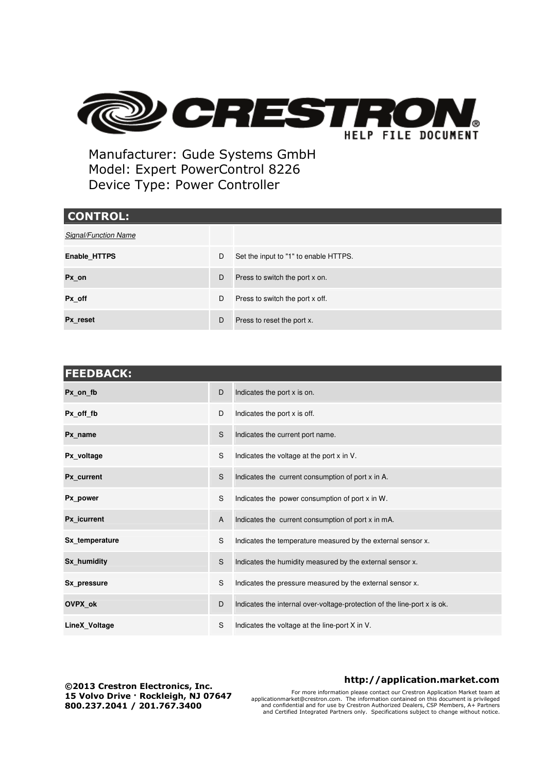

Manufacturer: Gude Systems GmbH Model: Expert PowerControl 8226 Device Type: Power Controller

| <b>CONTROL:</b>             |   |                                       |
|-----------------------------|---|---------------------------------------|
| <b>Signal/Function Name</b> |   |                                       |
| Enable_HTTPS                | D | Set the input to "1" to enable HTTPS. |
| Px_on                       | D | Press to switch the port x on.        |
| Px off                      | D | Press to switch the port x off.       |
| Px reset                    | D | Press to reset the port x.            |

| <b>FEEDBACK:</b> |   |                                                                          |  |  |
|------------------|---|--------------------------------------------------------------------------|--|--|
| Px_on_fb         | D | Indicates the port x is on.                                              |  |  |
| Px off fb        | D | Indicates the port x is off.                                             |  |  |
| Px name          | S | Indicates the current port name.                                         |  |  |
| Px voltage       | S | Indicates the voltage at the port x in V.                                |  |  |
| Px current       | S | Indicates the current consumption of port x in A.                        |  |  |
| Px power         | S | Indicates the power consumption of port x in W.                          |  |  |
| Px icurrent      | A | Indicates the current consumption of port x in mA.                       |  |  |
| Sx temperature   | S | Indicates the temperature measured by the external sensor x.             |  |  |
| Sx_humidity      | S | Indicates the humidity measured by the external sensor x.                |  |  |
| Sx pressure      | S | Indicates the pressure measured by the external sensor x.                |  |  |
| OVPX_ok          | D | Indicates the internal over-voltage-protection of the line-port x is ok. |  |  |
| LineX_Voltage    | S | Indicates the voltage at the line-port X in V.                           |  |  |

**©2013 Crestron Electronics, Inc. 15 Volvo Drive · Rockleigh, NJ 07647 800.237.2041 / 201.767.3400** 

## **http://application.market.com**

For more information please contact our Crestron Application Market team at applicationmarket@crestron.com. The information contained on this document is privileged and confidential and for use by Crestron Authorized Dealers, CSP Members, A+ Partners and Certified Integrated Partners only. Specifications subject to change without notice.